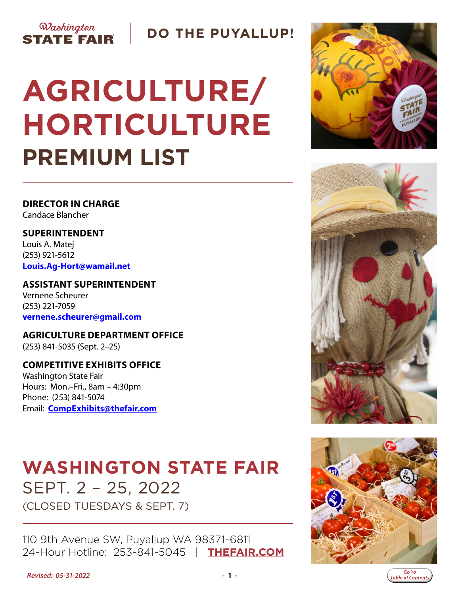

**DO THE PUYALLUP!** 

# **AGRICULTURE/ HORTICULTURE PREMIUM LIST**

**DIRECTOR IN CHARGE** Candace Blancher

**SUPERINTENDENT** Louis A. Matej (253) 921-5612 **[Louis.Ag-Hort@wamail.net](mailto:Louis.Ag-Hort%40wamail.net?subject=Ag-Hort)**

**ASSISTANT SUPERINTENDENT** Vernene Scheurer (253) 221-7059 **[vernene.scheurer@gmail.com](mailto:vernene.scheurer%40gmail.com?subject=Agriculture%20Horticulture)**

**AGRICULTURE DEPARTMENT OFFICE** (253) 841-5035 (Sept. 2–25)

**COMPETITIVE EXHIBITS OFFICE** Washington State Fair Hours: Mon.–Fri., 8am – 4:30pm Phone: (253) 841-5074 Email: **[CompExhibits@thefair.com](mailto:compexhibits%40thefair.com?subject=AgHort)**

# **WASHINGTON STATE FAIR** SEPT. 2 – 25, 2022 (CLOSED TUESDAYS & SEPT. 7)

110 9th Avenue SW, Puyallup WA 98371-6811 24-Hour Hotline: 253-841-5045 | **[THEFAIR.COM](http://www.thefair.com)**









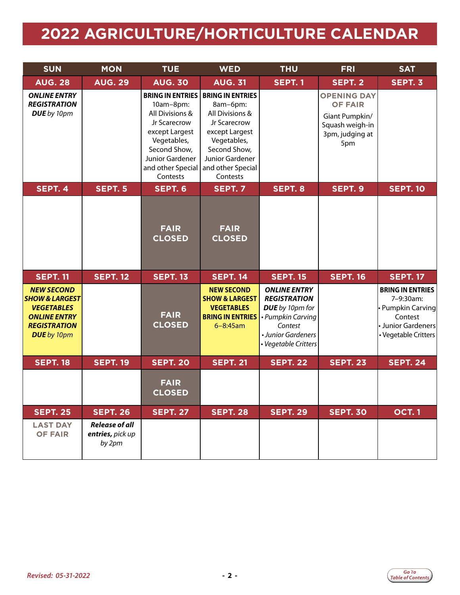# <span id="page-1-0"></span>**2022 AGRICULTURE/HORTICULTURE CALENDAR**

| <b>SUN</b>                                                                                                                              | <b>MON</b>                                          | <b>TUE</b>                                                                                                                                                                   | <b>WED</b>                                                                                                                                                                         | <b>THU</b>                                                                                                                                  | <b>FRI</b>                                                                                          | <b>SAT</b>                                                                                                         |
|-----------------------------------------------------------------------------------------------------------------------------------------|-----------------------------------------------------|------------------------------------------------------------------------------------------------------------------------------------------------------------------------------|------------------------------------------------------------------------------------------------------------------------------------------------------------------------------------|---------------------------------------------------------------------------------------------------------------------------------------------|-----------------------------------------------------------------------------------------------------|--------------------------------------------------------------------------------------------------------------------|
| <b>AUG. 28</b>                                                                                                                          | <b>AUG. 29</b>                                      | <b>AUG. 30</b>                                                                                                                                                               | <b>AUG. 31</b>                                                                                                                                                                     | <b>SEPT. 1</b>                                                                                                                              | SEPT. 2                                                                                             | SEPT. 3                                                                                                            |
| <b>ONLINE ENTRY</b><br><b>REGISTRATION</b><br>DUE by 10pm                                                                               |                                                     | <b>BRING IN ENTRIES</b><br>10am-8pm:<br>All Divisions &<br>Jr Scarecrow<br>except Largest<br>Vegetables,<br>Second Show,<br>Junior Gardener<br>and other Special<br>Contests | <b>BRING IN ENTRIES</b><br>8am-6pm:<br>All Divisions &<br>Jr Scarecrow<br>except Largest<br>Vegetables,<br>Second Show,<br><b>Junior Gardener</b><br>and other Special<br>Contests |                                                                                                                                             | <b>OPENING DAY</b><br><b>OF FAIR</b><br>Giant Pumpkin/<br>Squash weigh-in<br>3pm, judging at<br>5pm |                                                                                                                    |
| SEPT. 4                                                                                                                                 | <b>SEPT. 5</b>                                      | SEPT. 6                                                                                                                                                                      | SEPT. 7                                                                                                                                                                            | SEPT. 8                                                                                                                                     | SEPT. 9                                                                                             | <b>SEPT. 10</b>                                                                                                    |
|                                                                                                                                         |                                                     | <b>FAIR</b><br><b>CLOSED</b>                                                                                                                                                 | <b>FAIR</b><br><b>CLOSED</b>                                                                                                                                                       |                                                                                                                                             |                                                                                                     |                                                                                                                    |
| <b>SEPT. 11</b>                                                                                                                         | <b>SEPT. 12</b>                                     | <b>SEPT. 13</b>                                                                                                                                                              | <b>SEPT. 14</b>                                                                                                                                                                    | <b>SEPT. 15</b>                                                                                                                             | <b>SEPT. 16</b>                                                                                     | <b>SEPT. 17</b>                                                                                                    |
| <b>NEW SECOND</b><br><b>SHOW &amp; LARGEST</b><br><b>VEGETABLES</b><br><b>ONLINE ENTRY</b><br><b>REGISTRATION</b><br><b>DUE</b> by 10pm |                                                     | <b>FAIR</b><br><b>CLOSED</b>                                                                                                                                                 | <b>NEW SECOND</b><br><b>SHOW &amp; LARGEST</b><br><b>VEGETABLES</b><br><b>BRING IN ENTRIES</b><br>$6 - 8:45$ am                                                                    | <b>ONLINE ENTRY</b><br><b>REGISTRATION</b><br>DUE by 10pm for<br>• Pumpkin Carving<br>Contest<br>• Junior Gardeners<br>· Vegetable Critters |                                                                                                     | <b>BRING IN ENTRIES</b><br>7-9:30am:<br>• Pumpkin Carving<br>Contest<br>• Junior Gardeners<br>• Vegetable Critters |
| <b>SEPT. 18</b>                                                                                                                         | <b>SEPT. 19</b>                                     | <b>SEPT. 20</b>                                                                                                                                                              | <b>SEPT. 21</b>                                                                                                                                                                    | <b>SEPT. 22</b>                                                                                                                             | <b>SEPT. 23</b>                                                                                     | <b>SEPT. 24</b>                                                                                                    |
|                                                                                                                                         |                                                     | <b>FAIR</b><br><b>CLOSED</b>                                                                                                                                                 |                                                                                                                                                                                    |                                                                                                                                             |                                                                                                     |                                                                                                                    |
| <b>SEPT. 25</b>                                                                                                                         | <b>SEPT. 26</b>                                     | <b>SEPT. 27</b>                                                                                                                                                              | <b>SEPT. 28</b>                                                                                                                                                                    | <b>SEPT. 29</b>                                                                                                                             | <b>SEPT. 30</b>                                                                                     | <b>OCT.1</b>                                                                                                       |
| <b>LAST DAY</b><br><b>OF FAIR</b>                                                                                                       | <b>Release of all</b><br>entries, pick up<br>by 2pm |                                                                                                                                                                              |                                                                                                                                                                                    |                                                                                                                                             |                                                                                                     |                                                                                                                    |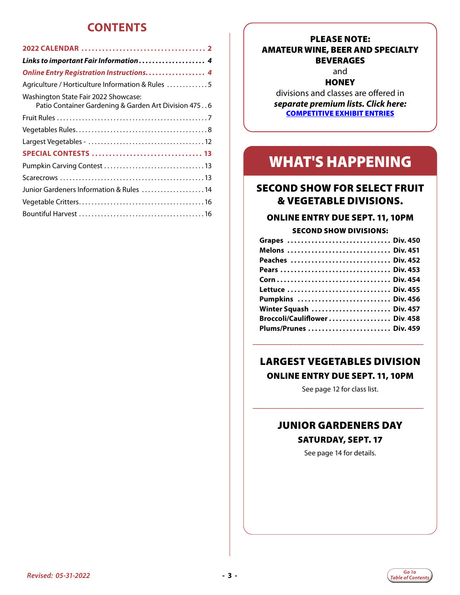### **CONTENTS**

| Links to important Fair Information  4               |
|------------------------------------------------------|
| <b>Online Entry Registration Instructions 4</b>      |
| Agriculture / Horticulture Information & Rules 5     |
| Washington State Fair 2022 Showcase:                 |
| Patio Container Gardening & Garden Art Division 4756 |
|                                                      |
|                                                      |
|                                                      |
|                                                      |
|                                                      |
|                                                      |
| Junior Gardeners Information & Rules 14              |
|                                                      |
|                                                      |
|                                                      |

#### PLEASE NOTE: AMATEUR WINE, BEER AND SPECIALTY BEVERAGES

#### and **HONEY**

divisions and classes are offered in *separate premium lists. Click here:*  [COMPETITIVE EXHIBIT ENTRIES](http://www.thefair.com/participate/exhibit-entries/)

# WHAT'S HAPPENING

#### SECOND SHOW FOR SELECT FRUIT & VEGETABLE DIVISIONS.

#### ONLINE ENTRY DUE SEPT. 11, 10PM

#### SECOND SHOW DIVISIONS:

| Grapes  Div. 450              |  |
|-------------------------------|--|
| Melons  Div. 451              |  |
| Peaches  Div. 452             |  |
| Pears  Div. 453               |  |
|                               |  |
|                               |  |
| Pumpkins  Div. 456            |  |
| Winter Squash  Div. 457       |  |
| Broccoli/Cauliflower Div. 458 |  |
| Plums/Prunes  Div. 459        |  |
|                               |  |
|                               |  |

### LARGEST VEGETABLES DIVISION

#### ONLINE ENTRY DUE SEPT. 11, 10PM

See page 12 for class list.

\_\_\_\_\_\_\_\_\_\_\_\_\_\_\_\_\_\_\_\_\_\_\_\_\_\_\_\_\_\_\_\_\_\_\_\_

### JUNIOR GARDENERS DAY SATURDAY, SEPT. 17

See page 14 for details.

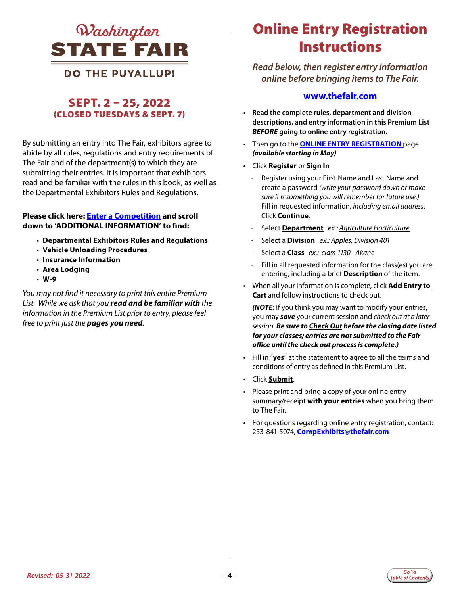<span id="page-3-0"></span>

#### **DO THE PUYALLUP!**

#### SEPT. 2 – 25, 2022 (CLOSED TUESDAYS & SEPT. 7)

By submitting an entry into The Fair, exhibitors agree to abide by all rules, regulations and entry requirements of The Fair and of the department(s) to which they are submitting their entries. It is important that exhibitors read and be familiar with the rules in this book, as well as the Departmental Exhibitors Rules and Regulations.

#### **Please click here: [Enter a Competition](https://www.thefair.com/get-involved/competitive-exhibits/) and scroll down to 'ADDITIONAL INFORMATION' to find:**

- **Departmental Exhibitors Rules and Regulations**
- **Vehicle Unloading Procedures**
- **Insurance Information**
- **Area Lodging**
- **W-9**

*You may not find it necessary to print this entire Premium List. While we ask that you read and be familiar with the information in the Premium List prior to entry, please feel free to print just the pages you need.* 

# Online Entry Registration **Instructions**

*Read below, then register entry information online before bringing items to The Fair.* 

#### **[www.thefair.com](http://www.thefair.com/)**

- **Read the complete rules, department and division descriptions, and entry information in this Premium List**  *BEFORE* **going to online entry registration.**
- Then go to the **[ONLINE ENTRY REGISTRATION](http://wwf.fairwire.com)** page *(available starting in May)*
- Click **Register** or **Sign In**
	- Register using your First Name and Last Name and create a password *(write your password down or make sure it is something you will remember for future use.)* Fill in requested information, *including email address*. Click **Continue**.
	- Select **Department** *ex.: Agriculture Horticulture*
	- Select a **Division** *ex.: Apples, Division 401*
	- Select a **Class** *ex.: class 1130 Akane*
	- Fill in all requested information for the class(es) you are entering, including a brief **Description** of the item.
- When all your information is complete, click **Add Entry to Cart** and follow instructions to check out.

*(NOTE:* If you think you may want to modify your entries, you may *save* your current session and *check out at a later session*. *Be sure to Check Out before the closing date listed for your classes; entries are not submitted to the Fair office until the check out process is complete.)*

- Fill in "**yes**" at the statement to agree to all the terms and conditions of entry as defined in this Premium List.
- Click **Submit**.
- Please print and bring a copy of your online entry summary/receipt **with your entries** when you bring them to The Fair.
- For questions regarding online entry registration, contact: 253-841-5074, **[CompExhibits@thefair.com](mailto:CompExhibits%40thefair.com?subject=Ag-Hort)**

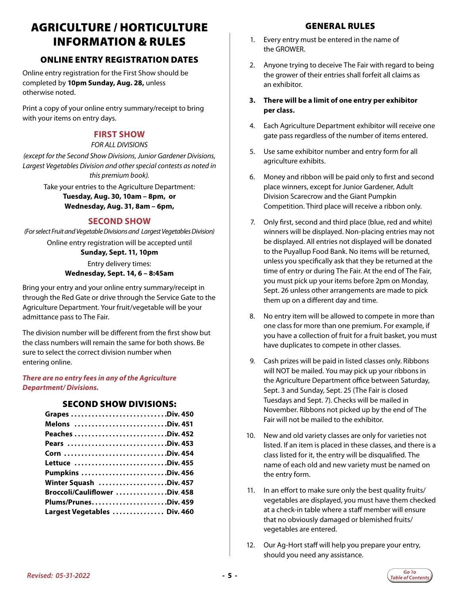# <span id="page-4-0"></span>AGRICULTURE / HORTICULTURE INFORMATION & RULES

#### ONLINE ENTRY REGISTRATION DATES

Online entry registration for the First Show should be completed by **10pm Sunday, Aug. 28,** unless otherwise noted.

Print a copy of your online entry summary/receipt to bring with your items on entry days.

#### **FIRST SHOW**

#### *FOR ALL DIVISIONS*

*(except for the Second Show Divisions, Junior Gardener Divisions, Largest Vegetables Division and other special contests as noted in this premium book).*

> Take your entries to the Agriculture Department: **Tuesday, Aug. 30, 10am – 8pm, or Wednesday, Aug. 31, 8am – 6pm,**

#### **SECOND SHOW**

*(For select Fruit and Vegetable Divisions and Largest Vegetables Division)* Online entry registration will be accepted until **Sunday, Sept. 11, 10pm**  Entry delivery times: **Wednesday, Sept. 14, 6 – 8:45am**

Bring your entry and your online entry summary/receipt in through the Red Gate or drive through the Service Gate to the Agriculture Department. Your fruit/vegetable will be your admittance pass to The Fair.

The division number will be different from the first show but the class numbers will remain the same for both shows. Be sure to select the correct division number when entering online.

#### *There are no entry fees in any of the Agriculture Department/ Divisions.*

#### SECOND SHOW DIVISIONS:

| Grapes Div. 450               |  |
|-------------------------------|--|
| Melons Div. 451               |  |
|                               |  |
| Pears Div. 453                |  |
|                               |  |
| Lettuce Div. 455              |  |
|                               |  |
| Winter Squash Div. 457        |  |
| Broccoli/Cauliflower Div. 458 |  |
| Plums/PrunesDiv. 459          |  |
| Largest Vegetables  Div. 460  |  |
|                               |  |

- 1. Every entry must be entered in the name of the GROWER.
- 2. Anyone trying to deceive The Fair with regard to being the grower of their entries shall forfeit all claims as an exhibitor.
- **3. There will be a limit of one entry per exhibitor per class.**
- 4. Each Agriculture Department exhibitor will receive one gate pass regardless of the number of items entered.
- 5. Use same exhibitor number and entry form for all agriculture exhibits.
- 6. Money and ribbon will be paid only to first and second place winners, except for Junior Gardener, Adult Division Scarecrow and the Giant Pumpkin Competition. Third place will receive a ribbon only.
- 7. Only first, second and third place (blue, red and white) winners will be displayed. Non-placing entries may not be displayed. All entries not displayed will be donated to the Puyallup Food Bank. No items will be returned, unless you specifically ask that they be returned at the time of entry or during The Fair. At the end of The Fair, you must pick up your items before 2pm on Monday, Sept. 26 unless other arrangements are made to pick them up on a different day and time.
- 8. No entry item will be allowed to compete in more than one class for more than one premium. For example, if you have a collection of fruit for a fruit basket, you must have duplicates to compete in other classes.
- 9. Cash prizes will be paid in listed classes only. Ribbons will NOT be mailed. You may pick up your ribbons in the Agriculture Department office between Saturday, Sept. 3 and Sunday, Sept. 25 (The Fair is closed Tuesdays and Sept. 7). Checks will be mailed in November. Ribbons not picked up by the end of The Fair will not be mailed to the exhibitor.
- 10. New and old variety classes are only for varieties not listed. If an item is placed in these classes, and there is a class listed for it, the entry will be disqualified. The name of each old and new variety must be named on the entry form.
- 11. In an effort to make sure only the best quality fruits/ vegetables are displayed, you must have them checked at a check-in table where a staff member will ensure that no obviously damaged or blemished fruits/ vegetables are entered.
- 12. Our Ag-Hort staff will help you prepare your entry, should you need any assistance.

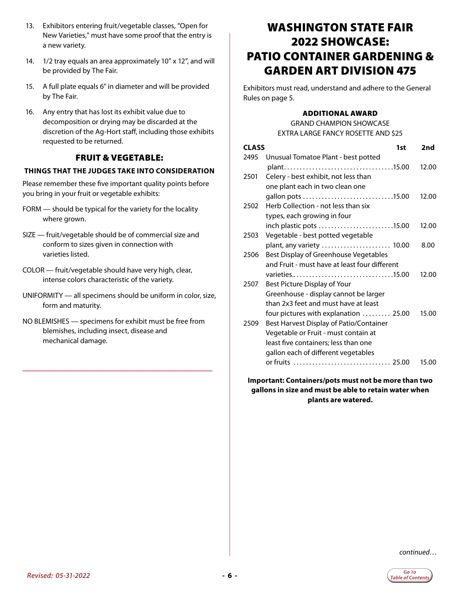- <span id="page-5-0"></span>13. Exhibitors entering fruit/vegetable classes, "Open for New Varieties," must have some proof that the entry is a new variety.
- 14. 1/2 tray equals an area approximately 10" x 12", and will be provided by The Fair.
- 15. A full plate equals 6" in diameter and will be provided by The Fair.
- 16. Any entry that has lost its exhibit value due to decomposition or drying may be discarded at the discretion of the Ag-Hort staff, including those exhibits requested to be returned.

#### FRUIT & VEGETABLE:

#### **THINGS THAT THE JUDGES TAKE INTO CONSIDERATION**

Please remember these five important quality points before you bring in your fruit or vegetable exhibits:

- FORM should be typical for the variety for the locality where grown.
- SIZE fruit/vegetable should be of commercial size and conform to sizes given in connection with varieties listed.
- COLOR fruit/vegetable should have very high, clear, intense colors characteristic of the variety.
- UNIFORMITY all specimens should be uniform in color, size, form and maturity.
- NO BLEMISHES specimens for exhibit must be free from blemishes, including insect, disease and mechanical damage.

\_\_\_\_\_\_\_\_\_\_\_\_\_\_\_\_\_\_\_\_\_\_\_\_\_\_\_\_\_\_\_\_\_\_\_

### WASHINGTON STATE FAIR 2022 SHOWCASE: PATIO CONTAINER GARDENING & GARDEN ART DIVISION 475

Exhibitors must read, understand and adhere to the General Rules on page 5.

#### ADDITIONAL AWARD

GRAND CHAMPION SHOWCASE EXTRA LARGE FANCY ROSETTE AND \$25

| <b>CLASS</b> | 1st                                                          | 2nd   |
|--------------|--------------------------------------------------------------|-------|
| 2495         | Unusual Tomatoe Plant - best potted                          |       |
|              |                                                              | 12.00 |
| 2501         | Celery - best exhibit, not less than                         |       |
|              | one plant each in two clean one                              |       |
|              |                                                              | 12.00 |
| 2502         | Herb Collection - not less than six                          |       |
|              | types, each growing in four                                  | 12.00 |
| 2503         | inch plastic pots 15.00<br>Vegetable - best potted vegetable |       |
|              | plant, any variety  10.00                                    | 8.00  |
| 2506         | Best Display of Greenhouse Vegetables                        |       |
|              | and Fruit - must have at least four different                |       |
|              |                                                              | 12.00 |
| 2507         | Best Picture Display of Your                                 |       |
|              | Greenhouse - display cannot be larger                        |       |
|              | than 2x3 feet and must have at least                         |       |
|              | four pictures with explanation  25.00                        | 15.00 |
| 2509         | Best Harvest Display of Patio/Container                      |       |
|              | Vegetable or Fruit - must contain at                         |       |
|              | least five containers; less than one                         |       |
|              | gallon each of different vegetables                          |       |
|              |                                                              | 15.00 |

**Important: Containers/pots must not be more than two gallons in size and must be able to retain water when plants are watered.**

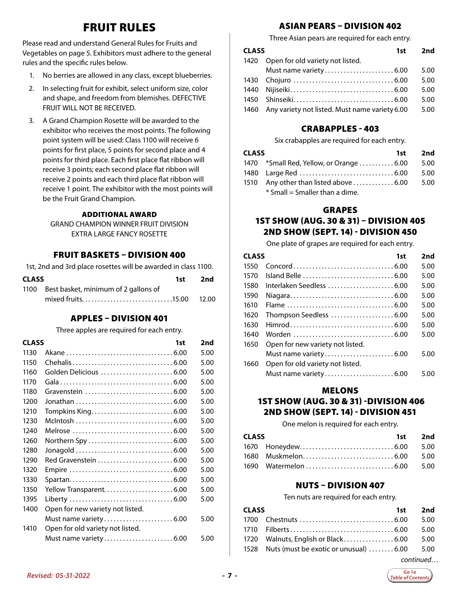## FRUIT RULES

<span id="page-6-0"></span>Please read and understand General Rules for Fruits and Vegetables on page 5. Exhibitors must adhere to the general rules and the specific rules below.

- 1. No berries are allowed in any class, except blueberries.
- 2. In selecting fruit for exhibit, select uniform size, color and shape, and freedom from blemishes. DEFECTIVE FRUIT WILL NOT BE RECEIVED.
- 3. A Grand Champion Rosette will be awarded to the exhibitor who receives the most points. The following point system will be used: Class 1100 will receive 6 points for first place, 5 points for second place and 4 points for third place. Each first place flat ribbon will receive 3 points; each second place flat ribbon will receive 2 points and each third place flat ribbon will receive 1 point. The exhibitor with the most points will be the Fruit Grand Champion.

#### ADDITIONAL AWARD

GRAND CHAMPION WINNER FRUIT DIVISION EXTRA LARGE FANCY ROSETTE

#### FRUIT BASKETS – DIVISION 400

1st, 2nd and 3rd place rosettes will be awarded in class 1100.

| <b>CLASS</b> |                                           | 1st 2nd |
|--------------|-------------------------------------------|---------|
|              | 1100 Best basket, minimum of 2 gallons of |         |
|              |                                           |         |

#### APPLES – DIVISION 401

Three apples are required for each entry.

| <b>CLASS</b> | 1st                              | 2nd  |
|--------------|----------------------------------|------|
| 1130         |                                  | 5.00 |
| 1150         |                                  | 5.00 |
| 1160         | Golden Delicious 6.00            | 5.00 |
| 1170         |                                  | 5.00 |
| 1180         |                                  | 5.00 |
| 1200         |                                  | 5.00 |
| 1210         |                                  | 5.00 |
| 1230         |                                  | 5.00 |
| 1240         |                                  | 5.00 |
| 1260         |                                  | 5.00 |
| 1280         |                                  | 5.00 |
| 1290         |                                  | 5.00 |
| 1320         |                                  | 5.00 |
| 1330         |                                  | 5.00 |
| 1350         | Yellow Transparent6.00           | 5.00 |
| 1395         |                                  | 5.00 |
| 1400         | Open for new variety not listed. |      |
|              |                                  | 5.00 |
| 1410         | Open for old variety not listed. |      |
|              |                                  | 5.00 |
|              |                                  |      |

#### ASIAN PEARS – DIVISION 402

Three Asian pears are required for each entry.

| <b>CLASS</b> | 1st                                            | 2nd  |
|--------------|------------------------------------------------|------|
| 1420         | Open for old variety not listed.               |      |
|              |                                                | 5.00 |
|              |                                                | 5.00 |
| 1440         |                                                | 5.00 |
| 1450         |                                                | 5.00 |
| 1460         | Any variety not listed. Must name variety 6.00 | 5.00 |

#### CRABAPPLES - 403

Six crabapples are required for each entry.

| <b>CLASS</b> |                                                                     | 1st | 2nd  |
|--------------|---------------------------------------------------------------------|-----|------|
|              | 1470 *Small Red, Yellow, or Orange  6.00                            |     | 5.00 |
|              |                                                                     |     | 5.00 |
|              | 1510 Any other than listed above $\ldots \ldots \ldots \ldots 6.00$ |     | 5.00 |
|              | $*$ Small = Smaller than a dime.                                    |     |      |

#### GRAPES

#### 1ST SHOW (AUG. 30 & 31) – DIVISION 405 2ND SHOW (SEPT. 14) - DIVISION 450

One plate of grapes are required for each entry.

| <b>CLASS</b> | 1st                              | 2nd  |
|--------------|----------------------------------|------|
| 1550         |                                  | 5.00 |
| 1570         |                                  | 5.00 |
| 1580         | Interlaken Seedless 6.00         | 5.00 |
| 1590         |                                  | 5.00 |
| 1610         |                                  | 5.00 |
| 1620         | Thompson Seedless 6.00           | 5.00 |
| 1630         |                                  | 5.00 |
| 1640         |                                  | 5.00 |
| 1650         | Open for new variety not listed. |      |
|              |                                  | 5.00 |
| 1660         | Open for old variety not listed. |      |
|              |                                  | 5.00 |

#### MELONS

#### 1ST SHOW (AUG. 30 & 31) -DIVISION 406 2ND SHOW (SEPT. 14) - DIVISION 451

One melon is required for each entry.

| CLASS |  | 1st 2nd |  |
|-------|--|---------|--|
|       |  |         |  |
|       |  |         |  |
|       |  |         |  |

#### NUTS – DIVISION 407

Ten nuts are required for each entry.

| <b>CLASS</b> |                                                 | 1st 2nd |  |
|--------------|-------------------------------------------------|---------|--|
|              |                                                 |         |  |
|              |                                                 |         |  |
|              | 1720 Walnuts, English or Black 6.00 5.00        |         |  |
|              | 1528 Nuts (must be exotic or unusual) 6.00 5.00 |         |  |
|              |                                                 |         |  |

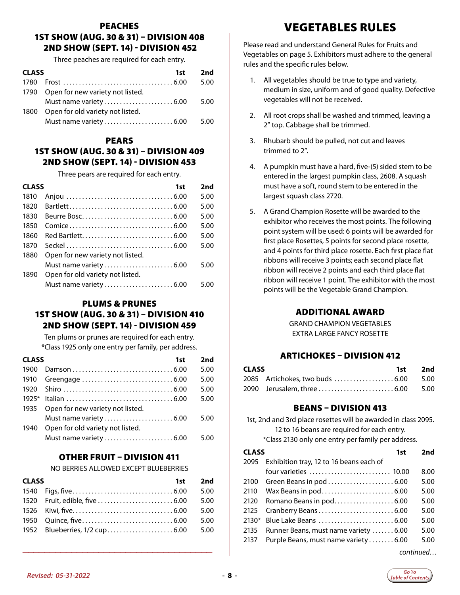#### <span id="page-7-0"></span>PEACHES 1ST SHOW (AUG. 30 & 31) – DIVISION 408 2ND SHOW (SEPT. 14) - DIVISION 452

Three peaches are required for each entry.

| <b>CLASS</b> | 1st                                   | 2nd  |
|--------------|---------------------------------------|------|
| 1780         |                                       | 5.00 |
|              | 1790 Open for new variety not listed. |      |
|              |                                       | 5.00 |
| 1800         | Open for old variety not listed.      |      |
|              |                                       | 5.00 |
|              |                                       |      |

#### PEARS

#### 1ST SHOW (AUG. 30 & 31) – DIVISION 409 2ND SHOW (SEPT. 14) - DIVISION 453

Three pears are required for each entry.

| <b>CLASS</b> | 1st                              | 2nd  |
|--------------|----------------------------------|------|
| 1810         |                                  | 5.00 |
| 1820         |                                  | 5.00 |
| 1830         |                                  | 5.00 |
| 1850         |                                  | 5.00 |
| 1860         |                                  | 5.00 |
| 1870         |                                  | 5.00 |
| 1880         | Open for new variety not listed. |      |
|              |                                  | 5.00 |
| 1890         | Open for old variety not listed. |      |
|              |                                  | 5.00 |

#### PLUMS & PRUNES 1ST SHOW (AUG. 30 & 31) – DIVISION 410 2ND SHOW (SEPT. 14) - DIVISION 459

Ten plums or prunes are required for each entry. \*Class 1925 only one entry per family, per address.

| <b>CLASS</b> | 1st                              | 2nd  |
|--------------|----------------------------------|------|
| 1900         |                                  | 5.00 |
| 1910         |                                  | 5.00 |
| 1920         |                                  | 5.00 |
| 1925*        |                                  | 5.00 |
| 1935         | Open for new variety not listed. |      |
|              |                                  | 5.00 |
| 1940         | Open for old variety not listed. |      |
|              |                                  | 5.00 |
|              |                                  |      |

#### OTHER FRUIT – DIVISION 411

NO BERRIES ALLOWED EXCEPT BLUEBERRIES

| <b>CLASS</b> |  | 1st 2nd |
|--------------|--|---------|
|              |  | 5.00    |
|              |  | 5.00    |
|              |  | 5.00    |
|              |  | 5.00    |
|              |  |         |

\_\_\_\_\_\_\_\_\_\_\_\_\_\_\_\_\_\_\_\_\_\_\_\_\_\_\_\_\_\_\_\_\_\_\_

# VEGETABLES RULES

Please read and understand General Rules for Fruits and Vegetables on page 5. Exhibitors must adhere to the general rules and the specific rules below.

- 1. All vegetables should be true to type and variety, medium in size, uniform and of good quality. Defective vegetables will not be received.
- 2. All root crops shall be washed and trimmed, leaving a 2" top. Cabbage shall be trimmed.
- 3. Rhubarb should be pulled, not cut and leaves trimmed to 2".
- 4. A pumpkin must have a hard, five-(5) sided stem to be entered in the largest pumpkin class, 2608. A squash must have a soft, round stem to be entered in the largest squash class 2720.
- 5. A Grand Champion Rosette will be awarded to the exhibitor who receives the most points. The following point system will be used: 6 points will be awarded for first place Rosettes, 5 points for second place rosette, and 4 points for third place rosette. Each first place flat ribbons will receive 3 points; each second place flat ribbon will receive 2 points and each third place flat ribbon will receive 1 point. The exhibitor with the most points will be the Vegetable Grand Champion.

#### ADDITIONAL AWARD

GRAND CHAMPION VEGETABLES EXTRA LARGE FANCY ROSETTE

#### ARTICHOKES – DIVISION 412

| <b>CLASS</b> | 1st 2nd |
|--------------|---------|
|              |         |
|              |         |

#### BEANS – DIVISION 413

1st, 2nd and 3rd place rosettes will be awarded in class 2095. 12 to 16 beans are required for each entry. \*Class 2130 only one entry per family per address.

| <b>CLASS</b> |                                         | 1st | 2nd  |
|--------------|-----------------------------------------|-----|------|
| 2095         | Exhibition tray, 12 to 16 beans each of |     |      |
|              | four varieties  10.00                   |     | 8.00 |
| 2100         |                                         |     | 5.00 |
| 2110         |                                         |     | 5.00 |
| 2120         |                                         |     | 5.00 |
| 2125         |                                         |     | 5.00 |
| $2130*$      |                                         |     | 5.00 |
| 2135         | Runner Beans, must name variety 6.00    |     | 5.00 |
| 2137         | Purple Beans, must name variety  6.00   |     | 5.00 |

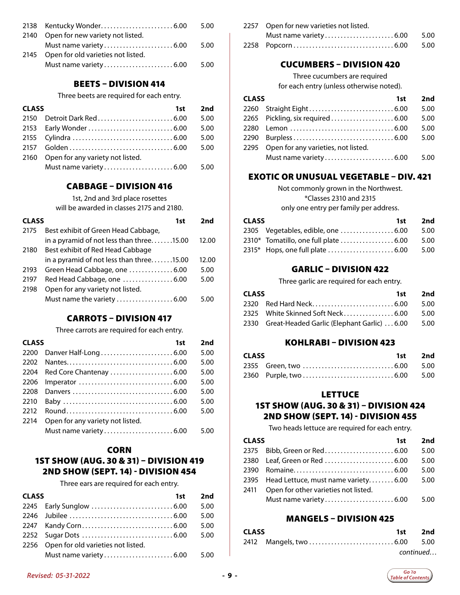|                                         | 5.00 |
|-----------------------------------------|------|
| 2140 Open for new variety not listed.   |      |
|                                         | 5.00 |
| 2145 Open for old varieties not listed. |      |
|                                         | 5.00 |

#### BEETS – DIVISION 414

Three beets are required for each entry.

| <b>CLASS</b> |                                       | 1st | 2nd  |
|--------------|---------------------------------------|-----|------|
|              |                                       |     | 5.00 |
|              |                                       |     | 5.00 |
|              |                                       |     | 5.00 |
|              |                                       |     | 5.00 |
|              | 2160 Open for any variety not listed. |     |      |
|              |                                       |     | 5.00 |

#### CABBAGE – DIVISION 416

1st, 2nd and 3rd place rosettes

will be awarded in classes 2175 and 2180.

| <b>CLASS</b> | 1st                                      | 2nd   |
|--------------|------------------------------------------|-------|
| 2175         | Best exhibit of Green Head Cabbage,      |       |
|              | in a pyramid of not less than three15.00 | 12.00 |
| 2180         | Best exhibit of Red Head Cabbage         |       |
|              | in a pyramid of not less than three15.00 | 12.00 |
| 2193         | Green Head Cabbage, one  6.00            | 5.00  |
| 2197         | Red Head Cabbage, one 6.00               | 5.00  |
| 2198         | Open for any variety not listed.         |       |
|              | Must name the variety 6.00               | 5.00  |

#### CARROTS – DIVISION 417

Three carrots are required for each entry.

| <b>CLASS</b> | 1st                                                                             | 2nd  |
|--------------|---------------------------------------------------------------------------------|------|
|              |                                                                                 | 5.00 |
| 2202         |                                                                                 | 5.00 |
| 2204         |                                                                                 | 5.00 |
| 2206         | Imperator $\ldots \ldots \ldots \ldots \ldots \ldots \ldots \ldots \ldots 6.00$ | 5.00 |
| 2208         |                                                                                 | 5.00 |
| 2210         |                                                                                 | 5.00 |
| 2212         |                                                                                 | 5.00 |
| 2214         | Open for any variety not listed.                                                |      |
|              |                                                                                 | 5.00 |

#### **CORN**

#### 1ST SHOW (AUG. 30 & 31) – DIVISION 419 2ND SHOW (SEPT. 14) - DIVISION 454

Three ears are required for each entry.

| <b>CLASS</b> | 1st                                     | 2nd  |
|--------------|-----------------------------------------|------|
|              |                                         | 5.00 |
|              |                                         | 5.00 |
|              |                                         | 5.00 |
|              |                                         | 5.00 |
|              | 2256 Open for old varieties not listed. |      |
|              |                                         |      |

| 2257 Open for new varieties not listed. |  |
|-----------------------------------------|--|
|                                         |  |
|                                         |  |

#### CUCUMBERS – DIVISION 420

#### Three cucumbers are required

for each entry (unless otherwise noted).

| <b>CLASS</b> | 1st                                      | 2nd  |
|--------------|------------------------------------------|------|
|              |                                          | 5.00 |
|              |                                          | 5.00 |
|              |                                          | 5.00 |
|              |                                          | 5.00 |
|              | 2295 Open for any varieties, not listed. |      |
|              |                                          |      |

#### EXOTIC OR UNUSUAL VEGETABLE – DIV. 421

Not commonly grown in the Northwest. \*Classes 2310 and 2315

only one entry per family per address.

| <b>CLASS</b> |  | 1st 2nd |
|--------------|--|---------|
|              |  | 5.00    |
|              |  | 5.00    |
|              |  | 5.00    |

#### GARLIC – DIVISION 422

Three garlic are required for each entry.

| CLASS |                                                       | 1st 2nd |
|-------|-------------------------------------------------------|---------|
|       |                                                       |         |
|       | 2325 White Skinned Soft Neck...............6.00  5.00 |         |
|       | 2330 Great-Headed Garlic (Elephant Garlic) 6.00 5.00  |         |

#### KOHLRABI – DIVISION 423

| <b>CLASS</b> |  | 1st 2nd |
|--------------|--|---------|
|              |  |         |
|              |  |         |

#### **LETTUCE**

#### 1ST SHOW (AUG. 30 & 31) – DIVISION 424 2ND SHOW (SEPT. 14) - DIVISION 455

Two heads lettuce are required for each entry.

| <b>CLASS</b><br>1st |                                          | 2nd  |
|---------------------|------------------------------------------|------|
|                     |                                          | 5.00 |
|                     |                                          | 5.00 |
|                     |                                          | 5.00 |
|                     | 2395 Head Lettuce, must name variety6.00 | 5.00 |
| 2411                | Open for other varieties not listed.     |      |
|                     |                                          | 5.00 |

#### MANGELS – DIVISION 425

| <b>CLASS</b> |  | 1st 2nd   |
|--------------|--|-----------|
|              |  |           |
|              |  | continued |

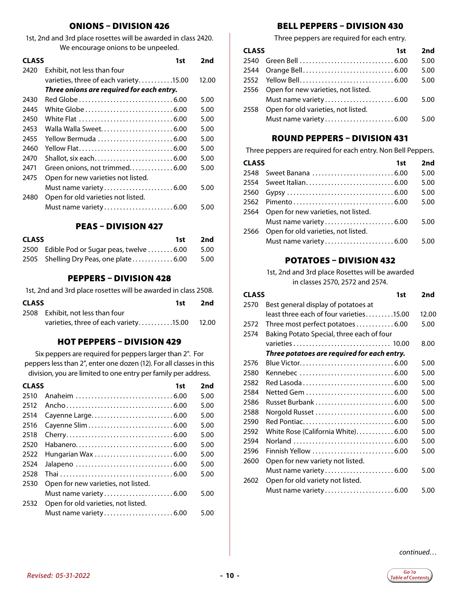#### ONIONS – DIVISION 426

1st, 2nd and 3rd place rosettes will be awarded in class 2420. We encourage onions to be unpeeled.

| <b>CLASS</b> |                                           | 1st | 2nd   |
|--------------|-------------------------------------------|-----|-------|
| 2420         | Exhibit, not less than four               |     |       |
|              | varieties, three of each variety15.00     |     | 12.00 |
|              | Three onions are required for each entry. |     |       |
| 2430         |                                           |     | 5.00  |
| 2445         |                                           |     | 5.00  |
| 2450         |                                           |     | 5.00  |
| 2453         |                                           |     | 5.00  |
| 2455         | Yellow Bermuda 6.00                       |     | 5.00  |
| 2460         | Yellow Flat6.00                           |     | 5.00  |
| 2470         |                                           |     | 5.00  |
| 2471         | Green onions, not trimmed6.00             |     | 5.00  |
| 2475         | Open for new varieties not listed.        |     |       |
|              | Must name variety  6.00                   |     | 5.00  |
| 2480         | Open for old varieties not listed.        |     |       |
|              |                                           |     | 5.00  |
|              |                                           |     |       |

#### PEAS – DIVISION 427

| <b>CLASS</b> |                                                  | 1st 2nd |
|--------------|--------------------------------------------------|---------|
|              | 2500 Edible Pod or Sugar peas, twelve  6.00 5.00 |         |
|              | 2505 Shelling Dry Peas, one plate 6.00 5.00      |         |

#### PEPPERS – DIVISION 428

1st, 2nd and 3rd place rosettes will be awarded in class 2508.

| <b>CLASS</b><br>1st - |                                             | 2nd |  |
|-----------------------|---------------------------------------------|-----|--|
|                       | 2508 Exhibit, not less than four            |     |  |
|                       | varieties, three of each variety15.00 12.00 |     |  |

#### HOT PEPPERS – DIVISION 429

Six peppers are required for peppers larger than 2". For peppers less than 2", enter one dozen (12). For all classes in this division, you are limited to one entry per family per address.

| <b>CLASS</b> | 1st                                 | 2nd  |
|--------------|-------------------------------------|------|
| 2510         |                                     | 5.00 |
| 2512         |                                     | 5.00 |
| 2514         |                                     | 5.00 |
| 2516         |                                     | 5.00 |
| 2518         |                                     | 5.00 |
| 2520         |                                     | 5.00 |
| 2522         |                                     | 5.00 |
| 2524         |                                     | 5.00 |
| 2528         |                                     | 5.00 |
| 2530         | Open for new varieties, not listed. |      |
|              |                                     | 5.00 |
| 2532         | Open for old varieties, not listed. |      |
|              |                                     | 5.00 |
|              |                                     |      |

#### BELL PEPPERS – DIVISION 430

Three peppers are required for each entry.

| <b>CLASS</b> |                                          | 1st | 2nd  |
|--------------|------------------------------------------|-----|------|
|              |                                          |     | 5.00 |
|              |                                          |     | 5.00 |
|              |                                          |     | 5.00 |
|              | 2556 Open for new varieties, not listed. |     |      |
|              |                                          |     | 5.00 |
| 2558         | Open for old varieties, not listed.      |     |      |
|              |                                          |     | 5.00 |

#### ROUND PEPPERS – DIVISION 431

Three peppers are required for each entry. Non Bell Peppers.

| <b>CLASS</b> | 1st                                      | 2nd  |
|--------------|------------------------------------------|------|
|              | 2548 Sweet Banana 6.00                   | 5.00 |
|              |                                          | 5.00 |
| 2560         |                                          | 5.00 |
|              |                                          | 5.00 |
|              | 2564 Open for new varieties, not listed. |      |
|              |                                          | 5.00 |
| 2566         | Open for old varieties, not listed.      |      |
|              |                                          | 5.00 |

#### POTATOES – DIVISION 432

1st, 2nd and 3rd place Rosettes will be awarded in classes 2570, 2572 and 2574.

|      | <b>CLASS</b><br>1st                         |       |
|------|---------------------------------------------|-------|
| 2570 | Best general display of potatoes at         |       |
|      | least three each of four varieties15.00     | 12.00 |
| 2572 | Three most perfect potatoes6.00             | 5.00  |
| 2574 | Baking Potato Special, three each of four   |       |
|      |                                             | 8.00  |
|      | Three potatoes are required for each entry. |       |
| 2576 |                                             | 5.00  |
| 2580 | Kennebec 6.00                               | 5.00  |
| 2582 |                                             | 5.00  |
| 2584 |                                             | 5.00  |
| 2586 | Russet Burbank  6.00                        | 5.00  |
| 2588 |                                             | 5.00  |
| 2590 |                                             | 5.00  |
| 2592 | White Rose (California White)6.00           | 5.00  |
| 2594 |                                             | 5.00  |
| 2596 |                                             | 5.00  |
| 2600 | Open for new variety not listed.            |       |
|      | Must name variety6.00                       | 5.00  |
| 2602 | Open for old variety not listed.            |       |
|      |                                             | 5.00  |
|      |                                             |       |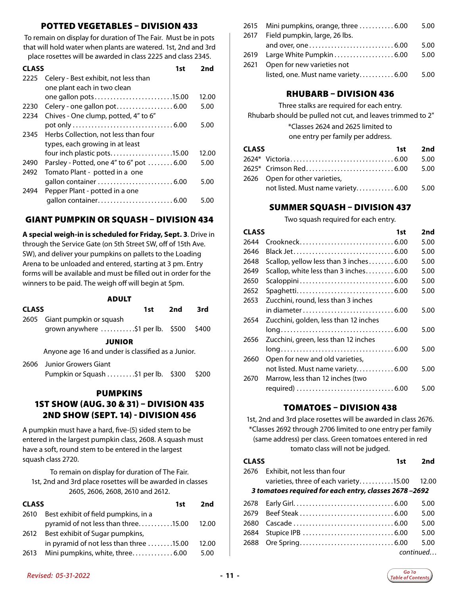#### POTTED VEGETABLES – DIVISION 433

To remain on display for duration of The Fair. Must be in pots that will hold water when plants are watered. 1st, 2nd and 3rd place rosettes will be awarded in class 2225 and class 2345.

|      | <b>CLASS</b><br>1st                      |  | 2nd   |
|------|------------------------------------------|--|-------|
| 2225 | Celery - Best exhibit, not less than     |  |       |
|      | one plant each in two clean              |  |       |
|      | one gallon pots15.00                     |  | 12.00 |
| 2230 |                                          |  | 5.00  |
| 2234 | Chives - One clump, potted, 4" to 6"     |  |       |
|      |                                          |  | 5.00  |
| 2345 | Herbs Collection, not less than four     |  |       |
|      | types, each growing in at least          |  |       |
|      | four inch plastic pots15.00              |  | 12.00 |
| 2490 | Parsley - Potted, one 4" to 6" pot  6.00 |  | 5.00  |
| 2492 | Tomato Plant - potted in a one           |  |       |
|      |                                          |  | 5.00  |
| 2494 | Pepper Plant - potted in a one           |  |       |
|      |                                          |  | 5 OO  |
|      |                                          |  |       |

#### GIANT PUMPKIN OR SQUASH – DIVISION 434

**A special weigh-in is scheduled for Friday, Sept. 3**. Drive in through the Service Gate (on 5th Street SW, off of 15th Ave. SW), and deliver your pumpkins on pallets to the Loading Arena to be unloaded and entered, starting at 3 pm. Entry forms will be available and must be filled out in order for the winners to be paid. The weigh off will begin at 5pm.

#### ADULT

| <b>CLASS</b> |                                                    | 1st | 2nd | 3rd   |
|--------------|----------------------------------------------------|-----|-----|-------|
| 2605         | Giant pumpkin or squash                            |     |     |       |
|              | grown anywhere \$1 per lb. \$500                   |     |     | \$400 |
|              | <b>JUNIOR</b>                                      |     |     |       |
|              | Anyone age 16 and under is classified as a Junior. |     |     |       |
|              | 2606 Junior Growers Giant                          |     |     |       |
|              | Pumpkin or Squash \$1 per lb. \$300                |     |     | \$200 |
|              | <b>PUMPKINS</b>                                    |     |     |       |
|              | 1ST SHOW (AUG. 30 & 31) - DIVISION 435             |     |     |       |
|              | 2ND SHOW (SEPT. 14) - DIVISION 456                 |     |     |       |
|              |                                                    |     |     |       |

A pumpkin must have a hard, five-(5) sided stem to be entered in the largest pumpkin class, 2608. A squash must have a soft, round stem to be entered in the largest squash class 2720.

To remain on display for duration of The Fair. 1st, 2nd and 3rd place rosettes will be awarded in classes 2605, 2606, 2608, 2610 and 2612.

|      | <b>CLASS</b><br>1st                                                         |       |
|------|-----------------------------------------------------------------------------|-------|
| 2610 | Best exhibit of field pumpkins, in a<br>pyramid of not less than three15.00 | 12.00 |
| 2612 | Best exhibit of Sugar pumpkins,                                             |       |
|      | in pyramid of not less than three 15.00                                     | 12.00 |
| 2613 | Mini pumpkins, white, three 6.00                                            | 5.00  |

| 2615 | Mini pumpkins, orange, three  6.00  | 5.00 |
|------|-------------------------------------|------|
| 2617 | Field pumpkin, large, 26 lbs.       |      |
|      |                                     | 5.00 |
|      |                                     | 5.00 |
| 2621 | Open for new varieties not          |      |
|      | listed, one. Must name variety 6.00 | 5.00 |

#### RHUBARB – DIVISION 436

Three stalks are required for each entry.

Rhubarb should be pulled not cut, and leaves trimmed to 2"

\*Classes 2624 and 2625 limited to

one entry per family per address.

| <b>CLASS</b> |                                         | 1st 2nd |
|--------------|-----------------------------------------|---------|
|              |                                         | 5.00    |
|              |                                         |         |
|              | 2626 Open for other varieties,          |         |
|              | not listed. Must name variety 6.00 5.00 |         |

#### SUMMER SQUASH – DIVISION 437

Two squash required for each entry.

| <b>CLASS</b> | 1st                                                                               | 2nd  |
|--------------|-----------------------------------------------------------------------------------|------|
| 2644         |                                                                                   | 5.00 |
| 2646         |                                                                                   | 5.00 |
| 2648         | Scallop, yellow less than 3 inches6.00                                            | 5.00 |
| 2649         | Scallop, white less than 3 inches6.00                                             | 5.00 |
| 2650         |                                                                                   | 5.00 |
| 2652         |                                                                                   | 5.00 |
| 2653         | Zucchini, round, less than 3 inches                                               |      |
|              | in diameter $\ldots \ldots \ldots \ldots \ldots \ldots \ldots \ldots \ldots 6.00$ | 5.00 |
| 2654         | Zucchini, golden, less than 12 inches                                             |      |
|              |                                                                                   | 5.00 |
| 2656         | Zucchini, green, less than 12 inches                                              |      |
|              |                                                                                   | 5.00 |
| 2660         | Open for new and old varieties,                                                   |      |
|              | not listed. Must name variety 6.00                                                | 5.00 |
| 2670         | Marrow, less than 12 inches (two                                                  |      |
|              |                                                                                   | 5.00 |
|              |                                                                                   |      |

#### TOMATOES – DIVISION 438

1st, 2nd and 3rd place rosettes will be awarded in class 2676. \*Classes 2692 through 2706 limited to one entry per family (same address) per class. Green tomatoes entered in red tomato class will not be judged.

| <b>CLASS</b> |                                                       | 1st | 2nd       |
|--------------|-------------------------------------------------------|-----|-----------|
| 2676         | Exhibit, not less than four                           |     |           |
|              | varieties, three of each variety15.00                 |     | 12.00     |
|              | 3 tomatoes required for each entry, classes 2678-2692 |     |           |
|              |                                                       |     | 5.00      |
|              |                                                       |     | 5.00      |
| 2680         |                                                       |     | 5.00      |
| 2684         |                                                       |     | 5.00      |
|              |                                                       |     | 5.00      |
|              |                                                       |     | continued |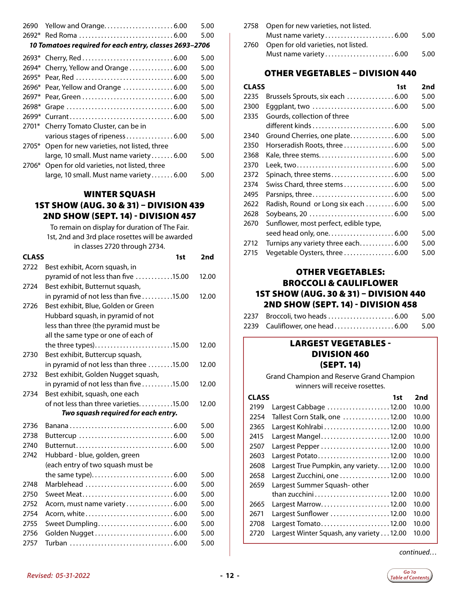<span id="page-11-0"></span>

| 2690    |                                                        | 5.00 |
|---------|--------------------------------------------------------|------|
|         |                                                        | 5.00 |
|         | 10 Tomatoes required for each entry, classes 2693-2706 |      |
|         |                                                        | 5.00 |
|         | 2694* Cherry, Yellow and Orange  6.00                  | 5.00 |
|         |                                                        | 5.00 |
|         |                                                        | 5.00 |
|         |                                                        | 5.00 |
| 2698*   |                                                        | 5.00 |
| $2699*$ |                                                        | 5.00 |
|         | 2701* Cherry Tomato Cluster, can be in                 |      |
|         | various stages of ripeness6.00                         | 5.00 |
|         | 2705* Open for new varieties, not listed, three        |      |
|         | large, 10 small. Must name variety 6.00                | 5.00 |
| 2706*   | Open for old varieties, not listed, three              |      |
|         | large, 10 small. Must name variety6.00                 | 5.00 |

#### WINTER SQUASH 1ST SHOW (AUG. 30 & 31) – DIVISION 439 2ND SHOW (SEPT. 14) - DIVISION 457

To remain on display for duration of The Fair. 1st, 2nd and 3rd place rosettes will be awarded in classes 2720 through 2734.

|              | in classes 2720 through 2734.           |       |
|--------------|-----------------------------------------|-------|
| <b>CLASS</b> | 1st                                     | 2nd   |
| 2722         | Best exhibit, Acorn squash, in          |       |
|              | pyramid of not less than five 15.00     | 12.00 |
| 2724         | Best exhibit, Butternut squash,         |       |
|              | in pyramid of not less than five15.00   | 12.00 |
| 2726         | Best exhibit, Blue, Golden or Green     |       |
|              | Hubbard squash, in pyramid of not       |       |
|              | less than three (the pyramid must be    |       |
|              | all the same type or one of each of     |       |
|              | the three types)15.00                   | 12.00 |
| 2730         | Best exhibit, Buttercup squash,         |       |
|              | in pyramid of not less than three 15.00 | 12.00 |
| 2732         | Best exhibit, Golden Nugget squash,     |       |
|              | in pyramid of not less than five15.00   | 12.00 |
| 2734         | Best exhibit, squash, one each          |       |
|              | of not less than three varieties15.00   | 12.00 |
|              | Two squash required for each entry.     |       |
| 2736         |                                         | 5.00  |
| 2738         |                                         | 5.00  |
| 2740         |                                         | 5.00  |
| 2742         | Hubbard - blue, golden, green           |       |
|              | (each entry of two squash must be       |       |
|              |                                         | 5.00  |
| 2748         |                                         | 5.00  |
| 2750         | Sweet Meat6.00                          | 5.00  |
| 2752         | Acorn, must name variety  6.00          | 5.00  |
| 2754         |                                         | 5.00  |
| 2755         |                                         | 5.00  |
| 2756         |                                         | 5.00  |
| 2757         |                                         | 5.00  |

| 2758 Open for new varieties, not listed. |       |
|------------------------------------------|-------|
|                                          | -5.00 |
| 2760 Open for old varieties, not listed. |       |
|                                          | 5.00  |

#### OTHER VEGETABLES – DIVISION 440

| <b>CLASS</b> | 1st                                   | 2nd  |
|--------------|---------------------------------------|------|
| 2235         | Brussels Sprouts, six each  6.00      | 5.00 |
| 2300         |                                       | 5.00 |
| 2335         | Gourds, collection of three           |      |
|              |                                       | 5.00 |
| 2340         | Ground Cherries, one plate 6.00       | 5.00 |
| 2350         | Horseradish Roots, three  6.00        | 5.00 |
| 2368         |                                       | 5.00 |
| 2370         |                                       | 5.00 |
| 2372         |                                       | 5.00 |
| 2374         | Swiss Chard, three stems6.00          | 5.00 |
| 2495         |                                       | 5.00 |
| 2622         | Radish, Round or Long six each  6.00  | 5.00 |
| 2628         |                                       | 5.00 |
| 2670         | Sunflower, most perfect, edible type, |      |
|              |                                       | 5.00 |
| 2712         | Turnips any variety three each6.00    | 5.00 |
| 2715         | Vegetable Oysters, three 6.00         | 5.00 |

#### OTHER VEGETABLES: BROCCOLI & CAULIFLOWER 1ST SHOW (AUG. 30 & 31) – DIVISION 440 2ND SHOW (SEPT. 14) - DIVISION 458

| 2239 Cauliflower, one head 6.00 5.00 |  |
|--------------------------------------|--|

#### LARGEST VEGETABLES - DIVISION 460 (SEPT. 14)

Grand Champion and Reserve Grand Champion winners will receive rosettes.

| <b>CLASS</b> | 1st                                      | 2nd   |
|--------------|------------------------------------------|-------|
| 2199         | Largest Cabbage $\ldots$ 12.00           | 10.00 |
| 2254         | Tallest Corn Stalk, one 12.00            | 10.00 |
| 2365         |                                          | 10.00 |
| 2415         | Largest Mangel12.00                      | 10.00 |
| 2507         | Largest Pepper 12.00                     | 10.00 |
| 2603         | Largest Potato12.00                      | 10.00 |
| 2608         | Largest True Pumpkin, any variety12.00   | 10.00 |
| 2658         | Largest Zucchini, one 12.00              | 10.00 |
| 2659         | Largest Summer Squash- other             |       |
|              |                                          | 10.00 |
| 2665         | Largest Marrow12.00                      | 10.00 |
| 2671         | Largest Sunflower 12.00                  | 10.00 |
| 2708         | Largest Tomato12.00                      | 10.00 |
| 2720         | Largest Winter Squash, any variety 12.00 | 10.00 |

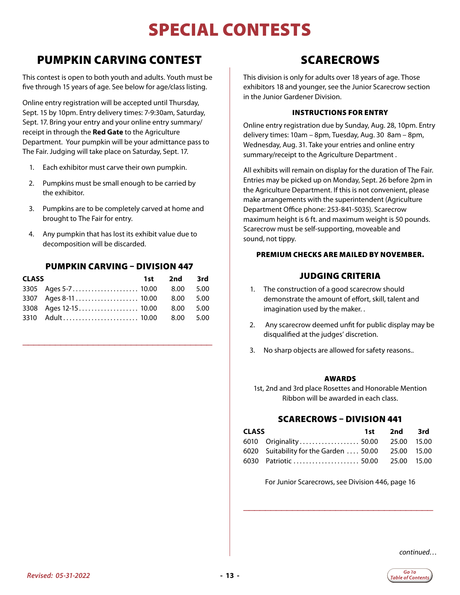# SPECIAL CONTESTS

### <span id="page-12-0"></span>PUMPKIN CARVING CONTEST

This contest is open to both youth and adults. Youth must be five through 15 years of age. See below for age/class listing.

Online entry registration will be accepted until Thursday, Sept. 15 by 10pm. Entry delivery times: 7-9:30am, Saturday, Sept. 17. Bring your entry and your online entry summary/ receipt in through the **Red Gate** to the Agriculture Department. Your pumpkin will be your admittance pass to The Fair. Judging will take place on Saturday, Sept. 17.

- 1. Each exhibitor must carve their own pumpkin.
- 2. Pumpkins must be small enough to be carried by the exhibitor.
- 3. Pumpkins are to be completely carved at home and brought to The Fair for entry.
- 4. Any pumpkin that has lost its exhibit value due to decomposition will be discarded.

#### PUMPKIN CARVING – DIVISION 447

| <b>CLASS</b> |                                 | 1st 2nd 3rd |  |
|--------------|---------------------------------|-------------|--|
|              |                                 |             |  |
|              |                                 |             |  |
|              | 3308 Ages 12-15 10.00 8.00 5.00 |             |  |
|              |                                 |             |  |

\_\_\_\_\_\_\_\_\_\_\_\_\_\_\_\_\_\_\_\_\_\_\_\_\_\_\_\_\_\_\_\_\_\_\_

### SCARECROWS

This division is only for adults over 18 years of age. Those exhibitors 18 and younger, see the Junior Scarecrow section in the Junior Gardener Division.

#### INSTRUCTIONS FOR ENTRY

Online entry registration due by Sunday, Aug. 28, 10pm. Entry delivery times: 10am – 8pm, Tuesday, Aug. 30 8am – 8pm, Wednesday, Aug. 31. Take your entries and online entry summary/receipt to the Agriculture Department .

All exhibits will remain on display for the duration of The Fair. Entries may be picked up on Monday, Sept. 26 before 2pm in the Agriculture Department. If this is not convenient, please make arrangements with the superintendent (Agriculture Department Office phone: 253-841-5035). Scarecrow maximum height is 6 ft. and maximum weight is 50 pounds. Scarecrow must be self-supporting, moveable and sound, not tippy.

#### PREMIUM CHECKS ARE MAILED BY NOVEMBER.

#### JUDGING CRITERIA

- 1. The construction of a good scarecrow should demonstrate the amount of effort, skill, talent and imagination used by the maker. .
- 2. Any scarecrow deemed unfit for public display may be disqualified at the judges' discretion.
- 3. No sharp objects are allowed for safety reasons..

#### AWARDS

1st, 2nd and 3rd place Rosettes and Honorable Mention Ribbon will be awarded in each class.

#### SCARECROWS – DIVISION 441

| <b>CLASS</b> |                                                    | 1st 2nd 3rd |  |
|--------------|----------------------------------------------------|-------------|--|
|              | 6010 Originality 50.00 25.00 15.00                 |             |  |
|              | 6020 Suitability for the Garden  50.00 25.00 15.00 |             |  |
|              | 6030 Patriotic  50.00 25.00 15.00                  |             |  |

For Junior Scarecrows, see Division 446, page 16

\_\_\_\_\_\_\_\_\_\_\_\_\_\_\_\_\_\_\_\_\_\_\_\_\_\_\_\_\_\_\_\_\_\_\_

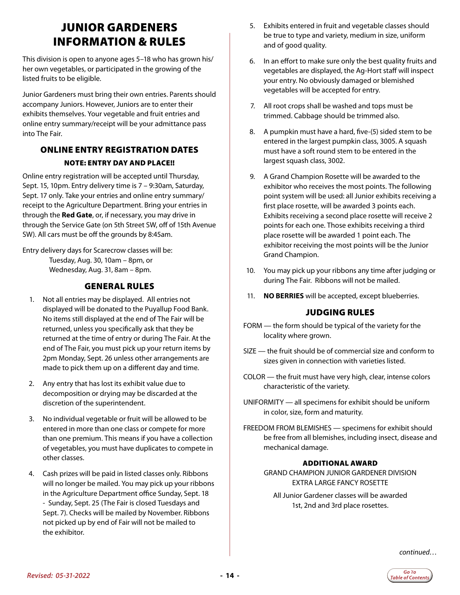# <span id="page-13-0"></span>JUNIOR GARDENERS INFORMATION & RULES

This division is open to anyone ages 5–18 who has grown his/ her own vegetables, or participated in the growing of the listed fruits to be eligible.

Junior Gardeners must bring their own entries. Parents should accompany Juniors. However, Juniors are to enter their exhibits themselves. Your vegetable and fruit entries and online entry summary/receipt will be your admittance pass into The Fair.

#### ONLINE ENTRY REGISTRATION DATES NOTE: ENTRY DAY AND PLACE!!

Online entry registration will be accepted until Thursday, Sept. 15, 10pm. Entry delivery time is 7 – 9:30am, Saturday, Sept. 17 only. Take your entries and online entry summary/ receipt to the Agriculture Department. Bring your entries in through the **Red Gate**, or, if necessary, you may drive in through the Service Gate (on 5th Street SW, off of 15th Avenue SW). All cars must be off the grounds by 8:45am.

Entry delivery days for Scarecrow classes will be: Tuesday, Aug. 30, 10am – 8pm, or Wednesday, Aug. 31, 8am – 8pm.

#### GENERAL RULES

- 1. Not all entries may be displayed. All entries not displayed will be donated to the Puyallup Food Bank. No items still displayed at the end of The Fair will be returned, unless you specifically ask that they be returned at the time of entry or during The Fair. At the end of The Fair, you must pick up your return items by 2pm Monday, Sept. 26 unless other arrangements are made to pick them up on a different day and time.
- 2. Any entry that has lost its exhibit value due to decomposition or drying may be discarded at the discretion of the superintendent.
- 3. No individual vegetable or fruit will be allowed to be entered in more than one class or compete for more than one premium. This means if you have a collection of vegetables, you must have duplicates to compete in other classes.
- 4. Cash prizes will be paid in listed classes only. Ribbons will no longer be mailed. You may pick up your ribbons in the Agriculture Department office Sunday, Sept. 18 - Sunday, Sept. 25 (The Fair is closed Tuesdays and Sept. 7). Checks will be mailed by November. Ribbons not picked up by end of Fair will not be mailed to the exhibitor.
- 5. Exhibits entered in fruit and vegetable classes should be true to type and variety, medium in size, uniform and of good quality.
- 6. In an effort to make sure only the best quality fruits and vegetables are displayed, the Ag-Hort staff will inspect your entry. No obviously damaged or blemished vegetables will be accepted for entry.
- 7. All root crops shall be washed and tops must be trimmed. Cabbage should be trimmed also.
- 8. A pumpkin must have a hard, five-(5) sided stem to be entered in the largest pumpkin class, 3005. A squash must have a soft round stem to be entered in the largest squash class, 3002.
- 9. A Grand Champion Rosette will be awarded to the exhibitor who receives the most points. The following point system will be used: all Junior exhibits receiving a first place rosette, will be awarded 3 points each. Exhibits receiving a second place rosette will receive 2 points for each one. Those exhibits receiving a third place rosette will be awarded 1 point each. The exhibitor receiving the most points will be the Junior Grand Champion.
- 10. You may pick up your ribbons any time after judging or during The Fair. Ribbons will not be mailed.
- 11. **NO BERRIES** will be accepted, except blueberries.

#### JUDGING RULES

- FORM the form should be typical of the variety for the locality where grown.
- SIZE the fruit should be of commercial size and conform to sizes given in connection with varieties listed.
- COLOR the fruit must have very high, clear, intense colors characteristic of the variety.
- UNIFORMITY all specimens for exhibit should be uniform in color, size, form and maturity.
- FREEDOM FROM BLEMISHES specimens for exhibit should be free from all blemishes, including insect, disease and mechanical damage.

#### ADDITIONAL AWARD

GRAND CHAMPION JUNIOR GARDENER DIVISION EXTRA LARGE FANCY ROSETTE

All Junior Gardener classes will be awarded 1st, 2nd and 3rd place rosettes.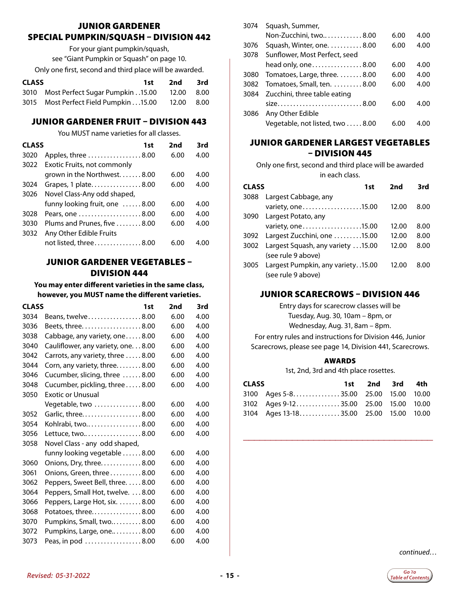#### JUNIOR GARDENER SPECIAL PUMPKIN/SQUASH – DIVISION 442

For your giant pumpkin/squash, see "Giant Pumpkin or Squash" on page 10. Only one first, second and third place will be awarded.

| <b>CLASS</b> |                                                  | 1st i | 2nd | – 3rd |
|--------------|--------------------------------------------------|-------|-----|-------|
|              | 3010 Most Perfect Sugar Pumpkin 15.00 12.00 8.00 |       |     |       |
|              | 3015 Most Perfect Field Pumpkin 15.00 12.00 8.00 |       |     |       |

#### JUNIOR GARDENER FRUIT – DIVISION 443

You MUST name varieties for all classes.

| <b>CLASS</b> | 1st                                         | 2nd  | 3rd  |
|--------------|---------------------------------------------|------|------|
| 3020         | Apples, three 8.00                          | 6.00 | 4.00 |
| 3022         | Exotic Fruits, not commonly                 |      |      |
|              | grown in the Northwest $8.00$               | 6.00 | 4.00 |
| 3024         | Grapes, 1 plate8.00                         | 6.00 | 4.00 |
| 3026         | Novel Class-Any odd shaped,                 |      |      |
|              | funny looking fruit, one 8.00               | 6.00 | 4.00 |
| 3028         |                                             | 6.00 | 4.00 |
| 3030         | Plums and Prunes, five $\ldots \ldots 8.00$ | 6.00 | 4.00 |
| 3032         | Any Other Edible Fruits                     |      |      |
|              | not listed, three8.00                       | 6.00 | 400  |

#### JUNIOR GARDENER VEGETABLES – DIVISION 444

**You may enter different varieties in the same class, however, you MUST name the different varieties.**

| <b>CLASS</b> | 1st                                        | 2nd  | 3rd  |
|--------------|--------------------------------------------|------|------|
| 3034         | Beans, twelve 8.00                         | 6.00 | 4.00 |
| 3036         | Beets, three. 8.00                         | 6.00 | 4.00 |
| 3038         | Cabbage, any variety, one8.00              | 6.00 | 4.00 |
| 3040         | Cauliflower, any variety, one. 8.00        | 6.00 | 4.00 |
| 3042         | Carrots, any variety, three 8.00           | 6.00 | 4.00 |
| 3044         | Corn, any variety, three. 8.00             | 6.00 | 4.00 |
| 3046         | Cucumber, slicing, three 8.00              | 6.00 | 4.00 |
| 3048         | Cucumber, pickling, three 8.00             | 6.00 | 4.00 |
| 3050         | <b>Exotic or Unusual</b>                   |      |      |
|              | Vegetable, two $\dots\dots\dots\dots 8.00$ | 6.00 | 4.00 |
| 3052         | Garlic, three8.00                          | 6.00 | 4.00 |
| 3054         | Kohlrabi, two8.00                          | 6.00 | 4.00 |
| 3056         | Lettuce, two 8.00                          | 6.00 | 4.00 |
| 3058         | Novel Class - any odd shaped,              |      |      |
|              | funny looking vegetable 8.00               | 6.00 | 4.00 |
| 3060         | Onions, Dry, three. 8.00                   | 6.00 | 4.00 |
| 3061         | Onions, Green, three8.00                   | 6.00 | 4.00 |
| 3062         | Peppers, Sweet Bell, three. 8.00           | 6.00 | 4.00 |
| 3064         | Peppers, Small Hot, twelve. 8.00           | 6.00 | 4.00 |
| 3066         | Peppers, Large Hot, six. 8.00              | 6.00 | 4.00 |
| 3068         | Potatoes, three8.00                        | 6.00 | 4.00 |
| 3070         | Pumpkins, Small, two8.00                   | 6.00 | 4.00 |
| 3072         | Pumpkins, Large, one8.00                   | 6.00 | 4.00 |
| 3073         | Peas, in pod 8.00                          | 6.00 | 4.00 |

| 3074 | Squash, Summer,                               |      |      |
|------|-----------------------------------------------|------|------|
|      | Non-Zucchini, two $\ldots \ldots \ldots 8.00$ | 6.00 | 4.00 |
| 3076 | Squash, Winter, one. 8.00                     | 6.00 | 4.00 |
| 3078 | Sunflower, Most Perfect, seed                 |      |      |
|      | head only, one8.00                            | 6.00 | 4.00 |
| 3080 | Tomatoes, Large, three. 8.00                  | 6.00 | 4.00 |
| 3082 | Tomatoes, Small, ten. $\dots\dots 8.00$       | 6.00 | 4.00 |
| 3084 | Zucchini, three table eating                  |      |      |
|      | $size$ 8.00                                   | 6.00 | 4.00 |
| 3086 | Any Other Edible                              |      |      |
|      | Vegetable, not listed, two  8.00              | 6.00 | 4.00 |

#### JUNIOR GARDENER LARGEST VEGETABLES – DIVISION 445

Only one first, second and third place will be awarded in each class.

| <b>CLASS</b> | 1st                                  | 2nd   | 3rd  |
|--------------|--------------------------------------|-------|------|
| 3088         | Largest Cabbage, any                 |       |      |
|              | variety, one15.00                    | 12.00 | 8.00 |
| 3090         | Largest Potato, any                  |       |      |
|              | variety, one15.00                    | 12.00 | 8.00 |
| 3092         | Largest Zucchini, one 15.00          | 12.00 | 8.00 |
| 3002         | Largest Squash, any variety 15.00    | 12.00 | 8.00 |
|              | (see rule 9 above)                   |       |      |
| 3005         | Largest Pumpkin, any variety. .15.00 | 12.00 | 8.00 |
|              | (see rule 9 above)                   |       |      |

#### JUNIOR SCARECROWS – DIVISION 446

Entry days for scarecrow classes will be Tuesday, Aug. 30, 10am – 8pm, or Wednesday, Aug. 31, 8am – 8pm.

For entry rules and instructions for Division 446, Junior Scarecrows, please see page 14, Division 441, Scarecrows.

#### AWARDS

1st, 2nd, 3rd and 4th place rosettes.

| <b>CLASS</b> |                                        | 1st 2nd 3rd 4th |  |
|--------------|----------------------------------------|-----------------|--|
|              | 3100 Ages 5-835.00 25.00 15.00 10.00   |                 |  |
|              | 3102 Ages 9-1235.00 25.00 15.00 10.00  |                 |  |
|              | 3104 Ages 13-1835.00 25.00 15.00 10.00 |                 |  |

\_\_\_\_\_\_\_\_\_\_\_\_\_\_\_\_\_\_\_\_\_\_\_\_\_\_\_\_\_\_\_\_\_\_\_